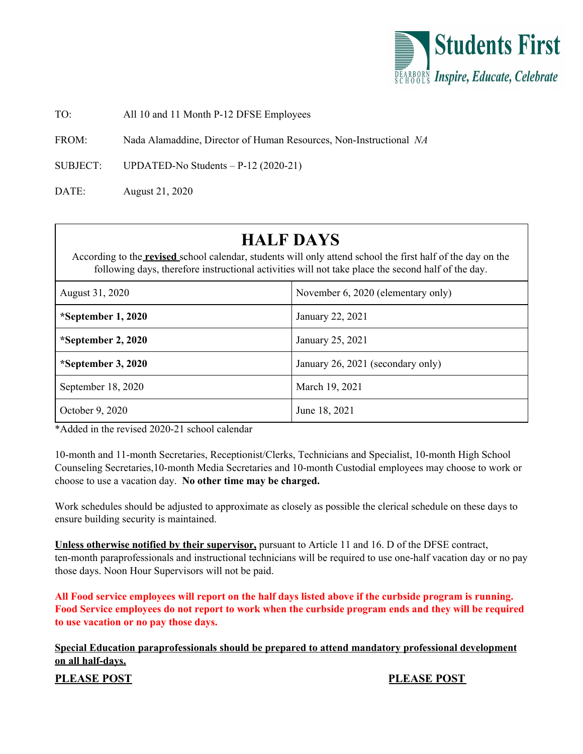

TO: All 10 and 11 Month P-12 DFSE Employees

FROM: Nada Alamaddine, Director of Human Resources, Non-Instructional *NA*

SUBJECT: UPDATED-No Students – P-12 (2020-21)

DATE: August 21, 2020

## **HALF DAYS**

According to the **revised** school calendar, students will only attend school the first half of the day on the following days, therefore instructional activities will not take place the second half of the day.

| August 31, 2020      | November 6, 2020 (elementary only) |
|----------------------|------------------------------------|
| *September 1, 2020   | January 22, 2021                   |
| *September 2, $2020$ | January 25, 2021                   |
| *September 3, $2020$ | January 26, 2021 (secondary only)  |
| September 18, 2020   | March 19, 2021                     |
| October 9, 2020      | June 18, 2021                      |

\*Added in the revised 2020-21 school calendar

10-month and 11-month Secretaries, Receptionist/Clerks, Technicians and Specialist, 10-month High School Counseling Secretaries,10-month Media Secretaries and 10-month Custodial employees may choose to work or choose to use a vacation day. **No other time may be charged.**

Work schedules should be adjusted to approximate as closely as possible the clerical schedule on these days to ensure building security is maintained.

**Unless otherwise notified by their supervisor,** pursuant to Article 11 and 16. D of the DFSE contract, ten-month paraprofessionals and instructional technicians will be required to use one-half vacation day or no pay those days. Noon Hour Supervisors will not be paid.

All Food service employees will report on the half days listed above if the curbside program is running. Food Service employees do not report to work when the curbside program ends and they will be required **to use vacation or no pay those days.**

**Special Education paraprofessionals should be prepared to attend mandatory professional development on all half-days.**

**PLEASE POST PLEASE POST**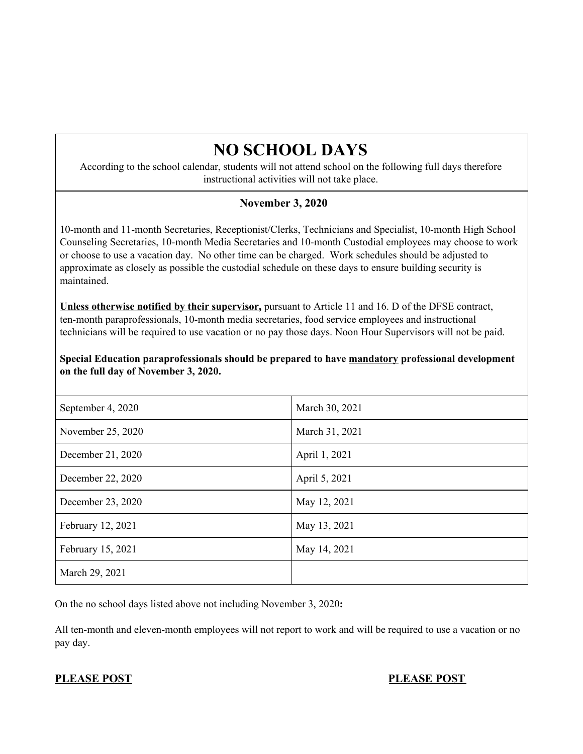# **NO SCHOOL DAYS**

According to the school calendar, students will not attend school on the following full days therefore instructional activities will not take place.

### **November 3, 2020**

10-month and 11-month Secretaries, Receptionist/Clerks, Technicians and Specialist, 10-month High School Counseling Secretaries, 10-month Media Secretaries and 10-month Custodial employees may choose to work or choose to use a vacation day. No other time can be charged. Work schedules should be adjusted to approximate as closely as possible the custodial schedule on these days to ensure building security is maintained.

**Unless otherwise notified by their supervisor,** pursuant to Article 11 and 16. D of the DFSE contract, ten-month paraprofessionals, 10-month media secretaries, food service employees and instructional technicians will be required to use vacation or no pay those days. Noon Hour Supervisors will not be paid.

**Special Education paraprofessionals should be prepared to have mandatory professional development on the full day of November 3, 2020.**

| September 4, 2020 | March 30, 2021 |
|-------------------|----------------|
| November 25, 2020 | March 31, 2021 |
| December 21, 2020 | April 1, 2021  |
| December 22, 2020 | April 5, 2021  |
| December 23, 2020 | May 12, 2021   |
| February 12, 2021 | May 13, 2021   |
| February 15, 2021 | May 14, 2021   |
| March 29, 2021    |                |

On the no school days listed above not including November 3, 2020**:**

All ten-month and eleven-month employees will not report to work and will be required to use a vacation or no pay day.

### **PLEASE POST PLEASE POST**